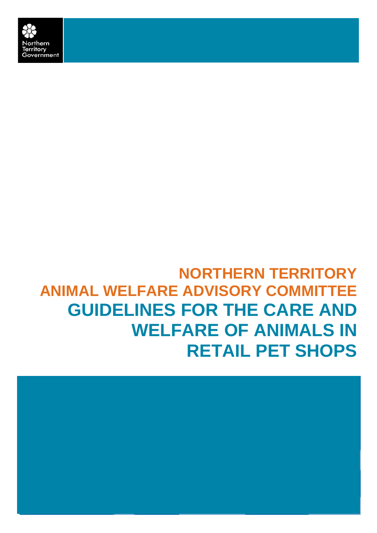

# **NORTHERN TERRITORY ANIMAL WELFARE ADVISORY COMMITTEE GUIDELINES FOR THE CARE AND WELFARE OF ANIMALS IN RETAIL PET SHOPS**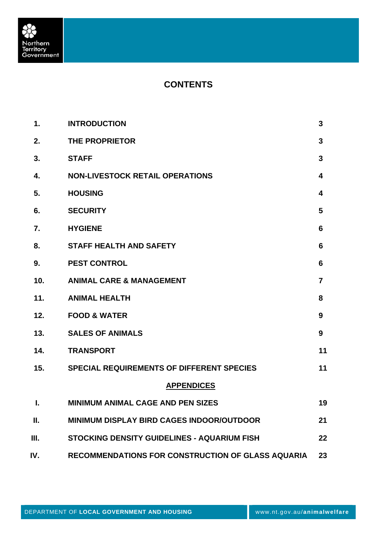

# **CONTENTS**

| 1.  | <b>INTRODUCTION</b>                               | 3              |
|-----|---------------------------------------------------|----------------|
| 2.  | THE PROPRIETOR                                    | $\overline{3}$ |
| 3.  | <b>STAFF</b>                                      | $\mathbf{3}$   |
| 4.  | <b>NON-LIVESTOCK RETAIL OPERATIONS</b>            | 4              |
| 5.  | <b>HOUSING</b>                                    | 4              |
| 6.  | <b>SECURITY</b>                                   | 5              |
| 7.  | <b>HYGIENE</b>                                    | 6              |
| 8.  | <b>STAFF HEALTH AND SAFETY</b>                    | 6              |
| 9.  | <b>PEST CONTROL</b>                               | 6              |
| 10. | <b>ANIMAL CARE &amp; MANAGEMENT</b>               | $\overline{7}$ |
| 11. | <b>ANIMAL HEALTH</b>                              | 8              |
| 12. | <b>FOOD &amp; WATER</b>                           | 9              |
| 13. | <b>SALES OF ANIMALS</b>                           | 9              |
| 14. | <b>TRANSPORT</b>                                  | 11             |
| 15. | <b>SPECIAL REQUIREMENTS OF DIFFERENT SPECIES</b>  | 11             |
|     | <b>APPENDICES</b>                                 |                |
| L.  | MINIMUM ANIMAL CAGE AND PEN SIZES                 | 19             |
| Ш.  | <b>MINIMUM DISPLAY BIRD CAGES INDOOR/OUTDOOR</b>  | 21             |
| Ш.  | STOCKING DENSITY GUIDELINES - AQUARIUM FISH       | 22             |
| IV. | RECOMMENDATIONS FOR CONSTRUCTION OF GLASS AQUARIA | 23             |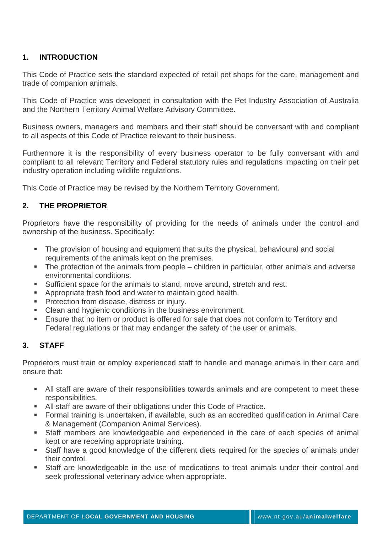# **1. INTRODUCTION**

This Code of Practice sets the standard expected of retail pet shops for the care, management and trade of companion animals.

This Code of Practice was developed in consultation with the Pet Industry Association of Australia and the Northern Territory Animal Welfare Advisory Committee.

Business owners, managers and members and their staff should be conversant with and compliant to all aspects of this Code of Practice relevant to their business.

Furthermore it is the responsibility of every business operator to be fully conversant with and compliant to all relevant Territory and Federal statutory rules and regulations impacting on their pet industry operation including wildlife regulations.

This Code of Practice may be revised by the Northern Territory Government.

# **2. THE PROPRIETOR**

Proprietors have the responsibility of providing for the needs of animals under the control and ownership of the business. Specifically:

- **The provision of housing and equipment that suits the physical, behavioural and social** requirements of the animals kept on the premises.
- The protection of the animals from people children in particular, other animals and adverse environmental conditions.
- Sufficient space for the animals to stand, move around, stretch and rest.
- **Appropriate fresh food and water to maintain good health.**
- **Protection from disease, distress or injury.**
- Clean and hygienic conditions in the business environment.
- **Ensure that no item or product is offered for sale that does not conform to Territory and** Federal regulations or that may endanger the safety of the user or animals.

# **3. STAFF**

Proprietors must train or employ experienced staff to handle and manage animals in their care and ensure that:

- All staff are aware of their responsibilities towards animals and are competent to meet these responsibilities.
- All staff are aware of their obligations under this Code of Practice.
- Formal training is undertaken, if available, such as an accredited qualification in Animal Care & Management (Companion Animal Services).
- Staff members are knowledgeable and experienced in the care of each species of animal kept or are receiving appropriate training.
- Staff have a good knowledge of the different diets required for the species of animals under their control.
- Staff are knowledgeable in the use of medications to treat animals under their control and seek professional veterinary advice when appropriate.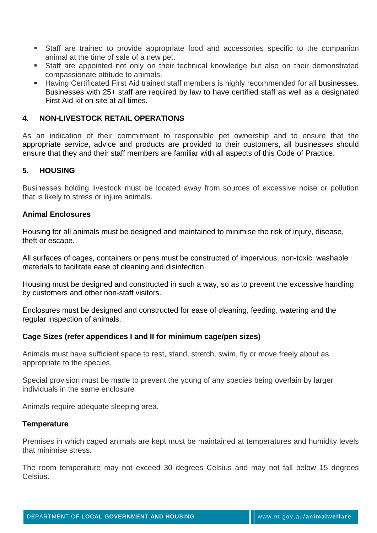- Staff are trained to provide appropriate food and accessories specific to the companion animal at the time of sale of a new pet.
- Staff are appointed not only on their technical knowledge but also on their demonstrated compassionate attitude to animals.
- Having Certificated First Aid trained staff members is highly recommended for all businesses. Businesses with 25+ staff are required by law to have certified staff as well as a designated First Aid kit on site at all times.

# **4. NON-LIVESTOCK RETAIL OPERATIONS**

As an indication of their commitment to responsible pet ownership and to ensure that the appropriate service, advice and products are provided to their customers, all businesses should ensure that they and their staff members are familiar with all aspects of this Code of Practice.

# **5. HOUSING**

Businesses holding livestock must be located away from sources of excessive noise or pollution that is likely to stress or injure animals.

#### **Animal Enclosures**

Housing for all animals must be designed and maintained to minimise the risk of injury, disease, theft or escape.

All surfaces of cages, containers or pens must be constructed of impervious, non-toxic, washable materials to facilitate ease of cleaning and disinfection.

Housing must be designed and constructed in such a way, so as to prevent the excessive handling by customers and other non-staff visitors.

Enclosures must be designed and constructed for ease of cleaning, feeding, watering and the regular inspection of animals.

#### **Cage Sizes (refer appendices I and II for minimum cage/pen sizes)**

Animals must have sufficient space to rest, stand, stretch, swim, fly or move freely about as appropriate to the species.

Special provision must be made to prevent the young of any species being overlain by larger individuals in the same enclosure

Animals require adequate sleeping area.

#### **Temperature**

Premises in which caged animals are kept must be maintained at temperatures and humidity levels that minimise stress.

The room temperature may not exceed 30 degrees Celsius and may not fall below 15 degrees Celsius.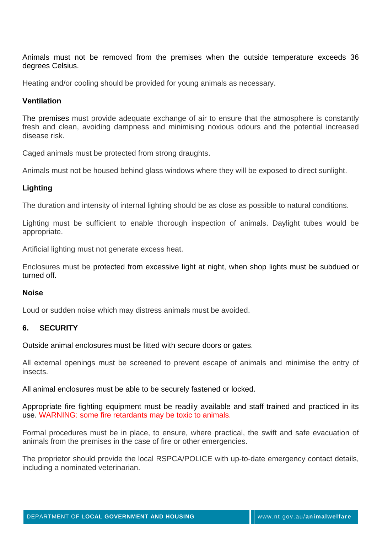Animals must not be removed from the premises when the outside temperature exceeds 36 degrees Celsius.

Heating and/or cooling should be provided for young animals as necessary.

### **Ventilation**

The premises must provide adequate exchange of air to ensure that the atmosphere is constantly fresh and clean, avoiding dampness and minimising noxious odours and the potential increased disease risk.

Caged animals must be protected from strong draughts.

Animals must not be housed behind glass windows where they will be exposed to direct sunlight.

# **Lighting**

The duration and intensity of internal lighting should be as close as possible to natural conditions.

Lighting must be sufficient to enable thorough inspection of animals. Daylight tubes would be appropriate.

Artificial lighting must not generate excess heat.

Enclosures must be protected from excessive light at night, when shop lights must be subdued or turned off.

#### **Noise**

Loud or sudden noise which may distress animals must be avoided.

# **6. SECURITY**

Outside animal enclosures must be fitted with secure doors or gates.

All external openings must be screened to prevent escape of animals and minimise the entry of insects.

All animal enclosures must be able to be securely fastened or locked.

Appropriate fire fighting equipment must be readily available and staff trained and practiced in its use. WARNING: some fire retardants may be toxic to animals.

Formal procedures must be in place, to ensure, where practical, the swift and safe evacuation of animals from the premises in the case of fire or other emergencies.

The proprietor should provide the local RSPCA/POLICE with up-to-date emergency contact details, including a nominated veterinarian.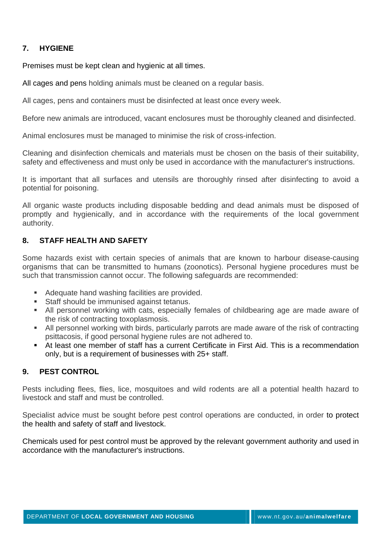# **7. HYGIENE**

Premises must be kept clean and hygienic at all times.

All cages and pens holding animals must be cleaned on a regular basis.

All cages, pens and containers must be disinfected at least once every week.

Before new animals are introduced, vacant enclosures must be thoroughly cleaned and disinfected.

Animal enclosures must be managed to minimise the risk of cross-infection.

Cleaning and disinfection chemicals and materials must be chosen on the basis of their suitability, safety and effectiveness and must only be used in accordance with the manufacturer's instructions.

It is important that all surfaces and utensils are thoroughly rinsed after disinfecting to avoid a potential for poisoning.

All organic waste products including disposable bedding and dead animals must be disposed of promptly and hygienically, and in accordance with the requirements of the local government authority.

# **8. STAFF HEALTH AND SAFETY**

Some hazards exist with certain species of animals that are known to harbour disease-causing organisms that can be transmitted to humans (zoonotics). Personal hygiene procedures must be such that transmission cannot occur. The following safeguards are recommended:

- Adequate hand washing facilities are provided.
- **Staff should be immunised against tetanus.**
- All personnel working with cats, especially females of childbearing age are made aware of the risk of contracting toxoplasmosis.
- All personnel working with birds, particularly parrots are made aware of the risk of contracting psittacosis, if good personal hygiene rules are not adhered to.
- At least one member of staff has a current Certificate in First Aid. This is a recommendation only, but is a requirement of businesses with 25+ staff.

# **9. PEST CONTROL**

Pests including flees, flies, lice, mosquitoes and wild rodents are all a potential health hazard to livestock and staff and must be controlled.

Specialist advice must be sought before pest control operations are conducted, in order to protect the health and safety of staff and livestock.

Chemicals used for pest control must be approved by the relevant government authority and used in accordance with the manufacturer's instructions.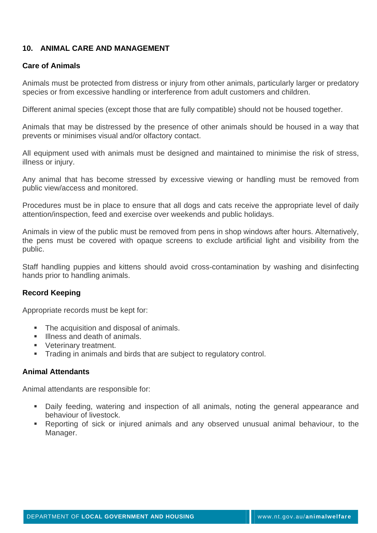# **10. ANIMAL CARE AND MANAGEMENT**

## **Care of Animals**

Animals must be protected from distress or injury from other animals, particularly larger or predatory species or from excessive handling or interference from adult customers and children.

Different animal species (except those that are fully compatible) should not be housed together.

Animals that may be distressed by the presence of other animals should be housed in a way that prevents or minimises visual and/or olfactory contact.

All equipment used with animals must be designed and maintained to minimise the risk of stress, illness or injury.

Any animal that has become stressed by excessive viewing or handling must be removed from public view/access and monitored.

Procedures must be in place to ensure that all dogs and cats receive the appropriate level of daily attention/inspection, feed and exercise over weekends and public holidays.

Animals in view of the public must be removed from pens in shop windows after hours. Alternatively, the pens must be covered with opaque screens to exclude artificial light and visibility from the public.

Staff handling puppies and kittens should avoid cross-contamination by washing and disinfecting hands prior to handling animals.

# **Record Keeping**

Appropriate records must be kept for:

- The acquisition and disposal of animals.
- Illness and death of animals.
- **Veterinary treatment.**
- **Trading in animals and birds that are subject to regulatory control.**

#### **Animal Attendants**

Animal attendants are responsible for:

- Daily feeding, watering and inspection of all animals, noting the general appearance and behaviour of livestock.
- Reporting of sick or injured animals and any observed unusual animal behaviour, to the Manager.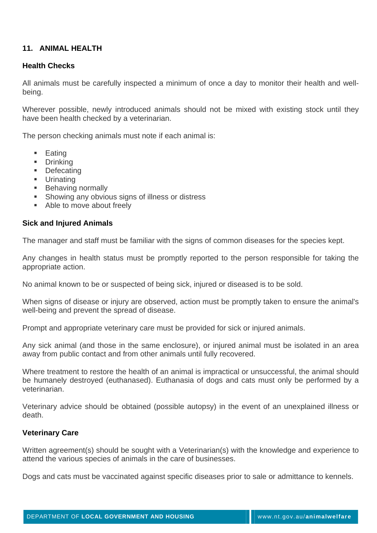# **11. ANIMAL HEALTH**

## **Health Checks**

All animals must be carefully inspected a minimum of once a day to monitor their health and wellbeing.

Wherever possible, newly introduced animals should not be mixed with existing stock until they have been health checked by a veterinarian.

The person checking animals must note if each animal is:

- $\blacksquare$  Eating
- **Drinking**
- **Defecating**
- **Urinating**
- **Behaving normally**
- **Showing any obvious signs of illness or distress**
- Able to move about freely

### **Sick and Injured Animals**

The manager and staff must be familiar with the signs of common diseases for the species kept.

Any changes in health status must be promptly reported to the person responsible for taking the appropriate action.

No animal known to be or suspected of being sick, injured or diseased is to be sold.

When signs of disease or injury are observed, action must be promptly taken to ensure the animal's well-being and prevent the spread of disease.

Prompt and appropriate veterinary care must be provided for sick or injured animals.

Any sick animal (and those in the same enclosure), or injured animal must be isolated in an area away from public contact and from other animals until fully recovered.

Where treatment to restore the health of an animal is impractical or unsuccessful, the animal should be humanely destroyed (euthanased). Euthanasia of dogs and cats must only be performed by a veterinarian.

Veterinary advice should be obtained (possible autopsy) in the event of an unexplained illness or death.

#### **Veterinary Care**

Written agreement(s) should be sought with a Veterinarian(s) with the knowledge and experience to attend the various species of animals in the care of businesses.

Dogs and cats must be vaccinated against specific diseases prior to sale or admittance to kennels.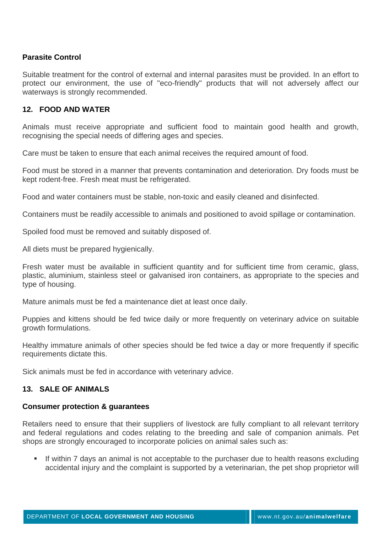# **Parasite Control**

Suitable treatment for the control of external and internal parasites must be provided. In an effort to protect our environment, the use of "eco-friendly" products that will not adversely affect our waterways is strongly recommended.

# **12. FOOD AND WATER**

Animals must receive appropriate and sufficient food to maintain good health and growth, recognising the special needs of differing ages and species.

Care must be taken to ensure that each animal receives the required amount of food.

Food must be stored in a manner that prevents contamination and deterioration. Dry foods must be kept rodent-free. Fresh meat must be refrigerated.

Food and water containers must be stable, non-toxic and easily cleaned and disinfected.

Containers must be readily accessible to animals and positioned to avoid spillage or contamination.

Spoiled food must be removed and suitably disposed of.

All diets must be prepared hygienically.

Fresh water must be available in sufficient quantity and for sufficient time from ceramic, glass, plastic, aluminium, stainless steel or galvanised iron containers, as appropriate to the species and type of housing.

Mature animals must be fed a maintenance diet at least once daily.

Puppies and kittens should be fed twice daily or more frequently on veterinary advice on suitable growth formulations.

Healthy immature animals of other species should be fed twice a day or more frequently if specific requirements dictate this.

Sick animals must be fed in accordance with veterinary advice.

# **13. SALE OF ANIMALS**

#### **Consumer protection & guarantees**

Retailers need to ensure that their suppliers of livestock are fully compliant to all relevant territory and federal regulations and codes relating to the breeding and sale of companion animals. Pet shops are strongly encouraged to incorporate policies on animal sales such as:

If within 7 days an animal is not acceptable to the purchaser due to health reasons excluding accidental injury and the complaint is supported by a veterinarian, the pet shop proprietor will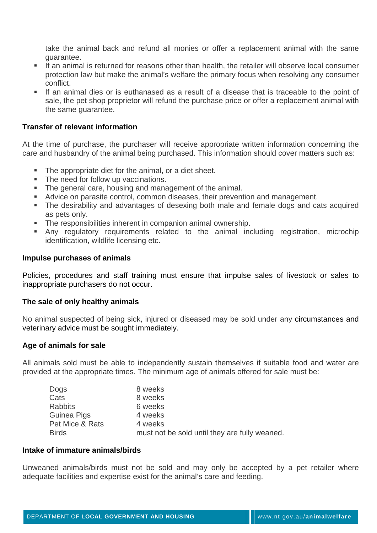take the animal back and refund all monies or offer a replacement animal with the same guarantee.

- If an animal is returned for reasons other than health, the retailer will observe local consumer protection law but make the animal's welfare the primary focus when resolving any consumer conflict.
- If an animal dies or is euthanased as a result of a disease that is traceable to the point of sale, the pet shop proprietor will refund the purchase price or offer a replacement animal with the same guarantee.

#### **Transfer of relevant information**

At the time of purchase, the purchaser will receive appropriate written information concerning the care and husbandry of the animal being purchased. This information should cover matters such as:

- The appropriate diet for the animal, or a diet sheet.
- The need for follow up vaccinations.
- The general care, housing and management of the animal.
- Advice on parasite control, common diseases, their prevention and management.
- The desirability and advantages of desexing both male and female dogs and cats acquired as pets only.
- The responsibilities inherent in companion animal ownership.
- Any regulatory requirements related to the animal including registration, microchip identification, wildlife licensing etc.

#### **Impulse purchases of animals**

Policies, procedures and staff training must ensure that impulse sales of livestock or sales to inappropriate purchasers do not occur.

#### **The sale of only healthy animals**

No animal suspected of being sick, injured or diseased may be sold under any circumstances and veterinary advice must be sought immediately.

#### **Age of animals for sale**

All animals sold must be able to independently sustain themselves if suitable food and water are provided at the appropriate times. The minimum age of animals offered for sale must be:

| Dogs            | 8 weeks                                       |
|-----------------|-----------------------------------------------|
| Cats            | 8 weeks                                       |
| <b>Rabbits</b>  | 6 weeks                                       |
| Guinea Pigs     | 4 weeks                                       |
| Pet Mice & Rats | 4 weeks                                       |
| <b>Birds</b>    | must not be sold until they are fully weaned. |

#### **Intake of immature animals/birds**

Unweaned animals/birds must not be sold and may only be accepted by a pet retailer where adequate facilities and expertise exist for the animal's care and feeding.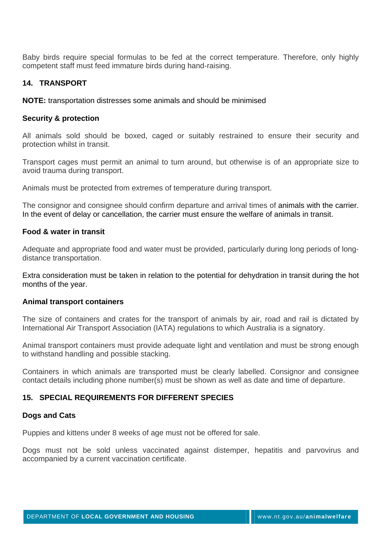Baby birds require special formulas to be fed at the correct temperature. Therefore, only highly competent staff must feed immature birds during hand-raising.

# **14. TRANSPORT**

**NOTE:** transportation distresses some animals and should be minimised

## **Security & protection**

All animals sold should be boxed, caged or suitably restrained to ensure their security and protection whilst in transit.

Transport cages must permit an animal to turn around, but otherwise is of an appropriate size to avoid trauma during transport.

Animals must be protected from extremes of temperature during transport.

The consignor and consignee should confirm departure and arrival times of animals with the carrier. In the event of delay or cancellation, the carrier must ensure the welfare of animals in transit.

### **Food & water in transit**

Adequate and appropriate food and water must be provided, particularly during long periods of longdistance transportation.

Extra consideration must be taken in relation to the potential for dehydration in transit during the hot months of the year.

#### **Animal transport containers**

The size of containers and crates for the transport of animals by air, road and rail is dictated by International Air Transport Association (IATA) regulations to which Australia is a signatory.

Animal transport containers must provide adequate light and ventilation and must be strong enough to withstand handling and possible stacking.

Containers in which animals are transported must be clearly labelled. Consignor and consignee contact details including phone number(s) must be shown as well as date and time of departure.

# **15. SPECIAL REQUIREMENTS FOR DIFFERENT SPECIES**

#### **Dogs and Cats**

Puppies and kittens under 8 weeks of age must not be offered for sale.

Dogs must not be sold unless vaccinated against distemper, hepatitis and parvovirus and accompanied by a current vaccination certificate.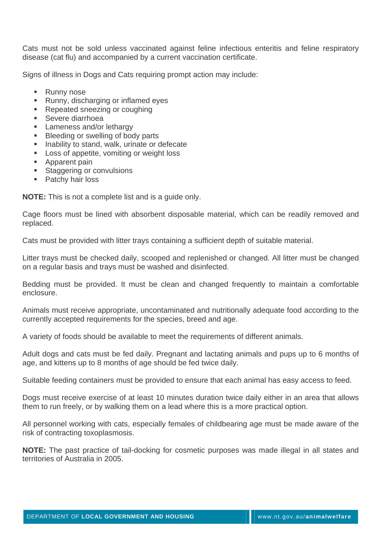Cats must not be sold unless vaccinated against feline infectious enteritis and feline respiratory disease (cat flu) and accompanied by a current vaccination certificate.

Signs of illness in Dogs and Cats requiring prompt action may include:

- Runny nose
- **Runny, discharging or inflamed eyes**
- **Repeated sneezing or coughing**
- **Severe diarrhoea**
- **Lameness and/or lethargy**
- **Bleeding or swelling of body parts**
- **Inability to stand, walk, urinate or defecate**
- **Loss of appetite, vomiting or weight loss**
- Apparent pain
- **Staggering or convulsions**
- **Patchy hair loss**

**NOTE:** This is not a complete list and is a guide only.

Cage floors must be lined with absorbent disposable material, which can be readily removed and replaced.

Cats must be provided with litter trays containing a sufficient depth of suitable material.

Litter trays must be checked daily, scooped and replenished or changed. All litter must be changed on a regular basis and trays must be washed and disinfected.

Bedding must be provided. It must be clean and changed frequently to maintain a comfortable enclosure.

Animals must receive appropriate, uncontaminated and nutritionally adequate food according to the currently accepted requirements for the species, breed and age.

A variety of foods should be available to meet the requirements of different animals.

Adult dogs and cats must be fed daily. Pregnant and lactating animals and pups up to 6 months of age, and kittens up to 8 months of age should be fed twice daily.

Suitable feeding containers must be provided to ensure that each animal has easy access to feed.

Dogs must receive exercise of at least 10 minutes duration twice daily either in an area that allows them to run freely, or by walking them on a lead where this is a more practical option.

All personnel working with cats, especially females of childbearing age must be made aware of the risk of contracting toxoplasmosis.

**NOTE:** The past practice of tail-docking for cosmetic purposes was made illegal in all states and territories of Australia in 2005.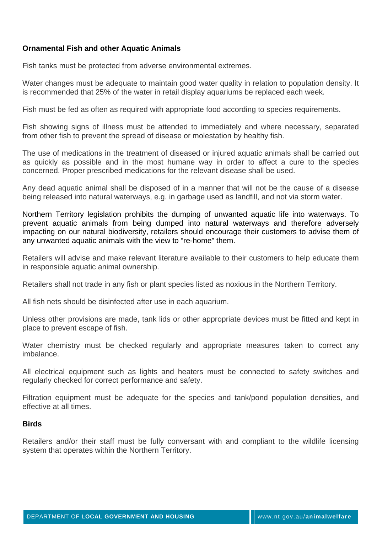# **Ornamental Fish and other Aquatic Animals**

Fish tanks must be protected from adverse environmental extremes.

Water changes must be adequate to maintain good water quality in relation to population density. It is recommended that 25% of the water in retail display aquariums be replaced each week.

Fish must be fed as often as required with appropriate food according to species requirements.

Fish showing signs of illness must be attended to immediately and where necessary, separated from other fish to prevent the spread of disease or molestation by healthy fish.

The use of medications in the treatment of diseased or injured aquatic animals shall be carried out as quickly as possible and in the most humane way in order to affect a cure to the species concerned. Proper prescribed medications for the relevant disease shall be used.

Any dead aquatic animal shall be disposed of in a manner that will not be the cause of a disease being released into natural waterways, e.g. in garbage used as landfill, and not via storm water.

Northern Territory legislation prohibits the dumping of unwanted aquatic life into waterways. To prevent aquatic animals from being dumped into natural waterways and therefore adversely impacting on our natural biodiversity, retailers should encourage their customers to advise them of any unwanted aquatic animals with the view to "re-home" them.

Retailers will advise and make relevant literature available to their customers to help educate them in responsible aquatic animal ownership.

Retailers shall not trade in any fish or plant species listed as noxious in the Northern Territory.

All fish nets should be disinfected after use in each aquarium.

Unless other provisions are made, tank lids or other appropriate devices must be fitted and kept in place to prevent escape of fish.

Water chemistry must be checked regularly and appropriate measures taken to correct any imbalance.

All electrical equipment such as lights and heaters must be connected to safety switches and regularly checked for correct performance and safety.

Filtration equipment must be adequate for the species and tank/pond population densities, and effective at all times.

#### **Birds**

Retailers and/or their staff must be fully conversant with and compliant to the wildlife licensing system that operates within the Northern Territory.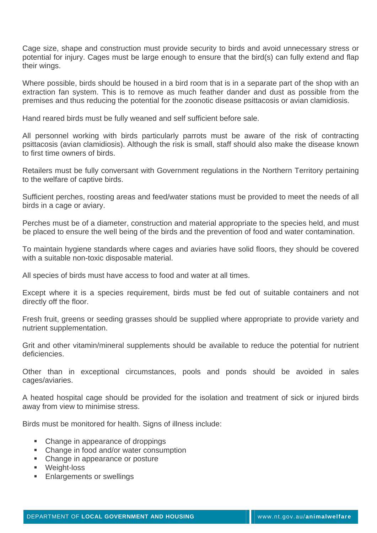Cage size, shape and construction must provide security to birds and avoid unnecessary stress or potential for injury. Cages must be large enough to ensure that the bird(s) can fully extend and flap their wings.

Where possible, birds should be housed in a bird room that is in a separate part of the shop with an extraction fan system. This is to remove as much feather dander and dust as possible from the premises and thus reducing the potential for the zoonotic disease psittacosis or avian clamidiosis.

Hand reared birds must be fully weaned and self sufficient before sale.

All personnel working with birds particularly parrots must be aware of the risk of contracting psittacosis (avian clamidiosis). Although the risk is small, staff should also make the disease known to first time owners of birds.

Retailers must be fully conversant with Government regulations in the Northern Territory pertaining to the welfare of captive birds.

Sufficient perches, roosting areas and feed/water stations must be provided to meet the needs of all birds in a cage or aviary.

Perches must be of a diameter, construction and material appropriate to the species held, and must be placed to ensure the well being of the birds and the prevention of food and water contamination.

To maintain hygiene standards where cages and aviaries have solid floors, they should be covered with a suitable non-toxic disposable material.

All species of birds must have access to food and water at all times.

Except where it is a species requirement, birds must be fed out of suitable containers and not directly off the floor.

Fresh fruit, greens or seeding grasses should be supplied where appropriate to provide variety and nutrient supplementation.

Grit and other vitamin/mineral supplements should be available to reduce the potential for nutrient deficiencies.

Other than in exceptional circumstances, pools and ponds should be avoided in sales cages/aviaries.

A heated hospital cage should be provided for the isolation and treatment of sick or injured birds away from view to minimise stress.

Birds must be monitored for health. Signs of illness include:

- Change in appearance of droppings
- Change in food and/or water consumption
- Change in appearance or posture
- **Weight-loss**
- **Enlargements or swellings**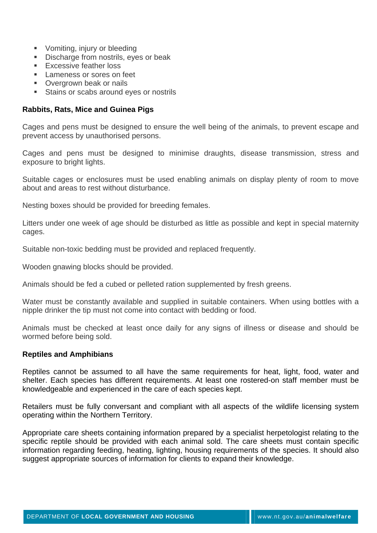- **Vomiting, injury or bleeding**
- Discharge from nostrils, eyes or beak
- **Excessive feather loss**
- **Lameness or sores on feet**
- **Overgrown beak or nails**
- **Stains or scabs around eyes or nostrils**

### **Rabbits, Rats, Mice and Guinea Pigs**

Cages and pens must be designed to ensure the well being of the animals, to prevent escape and prevent access by unauthorised persons.

Cages and pens must be designed to minimise draughts, disease transmission, stress and exposure to bright lights.

Suitable cages or enclosures must be used enabling animals on display plenty of room to move about and areas to rest without disturbance.

Nesting boxes should be provided for breeding females.

Litters under one week of age should be disturbed as little as possible and kept in special maternity cages.

Suitable non-toxic bedding must be provided and replaced frequently.

Wooden gnawing blocks should be provided.

Animals should be fed a cubed or pelleted ration supplemented by fresh greens.

Water must be constantly available and supplied in suitable containers. When using bottles with a nipple drinker the tip must not come into contact with bedding or food.

Animals must be checked at least once daily for any signs of illness or disease and should be wormed before being sold.

#### **Reptiles and Amphibians**

Reptiles cannot be assumed to all have the same requirements for heat, light, food, water and shelter. Each species has different requirements. At least one rostered-on staff member must be knowledgeable and experienced in the care of each species kept.

Retailers must be fully conversant and compliant with all aspects of the wildlife licensing system operating within the Northern Territory.

Appropriate care sheets containing information prepared by a specialist herpetologist relating to the specific reptile should be provided with each animal sold. The care sheets must contain specific information regarding feeding, heating, lighting, housing requirements of the species. It should also suggest appropriate sources of information for clients to expand their knowledge.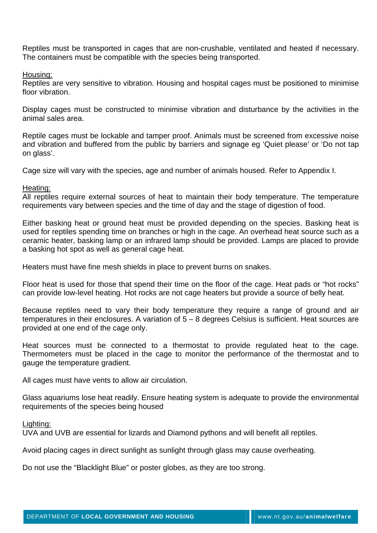Reptiles must be transported in cages that are non-crushable, ventilated and heated if necessary. The containers must be compatible with the species being transported.

Housing:

Reptiles are very sensitive to vibration. Housing and hospital cages must be positioned to minimise floor vibration.

Display cages must be constructed to minimise vibration and disturbance by the activities in the animal sales area.

Reptile cages must be lockable and tamper proof. Animals must be screened from excessive noise and vibration and buffered from the public by barriers and signage eg 'Quiet please' or 'Do not tap on glass'.

Cage size will vary with the species, age and number of animals housed. Refer to Appendix I.

#### Heating:

All reptiles require external sources of heat to maintain their body temperature. The temperature requirements vary between species and the time of day and the stage of digestion of food.

Either basking heat or ground heat must be provided depending on the species. Basking heat is used for reptiles spending time on branches or high in the cage. An overhead heat source such as a ceramic heater, basking lamp or an infrared lamp should be provided. Lamps are placed to provide a basking hot spot as well as general cage heat.

Heaters must have fine mesh shields in place to prevent burns on snakes.

Floor heat is used for those that spend their time on the floor of the cage. Heat pads or "hot rocks" can provide low-level heating. Hot rocks are not cage heaters but provide a source of belly heat.

Because reptiles need to vary their body temperature they require a range of ground and air temperatures in their enclosures. A variation of 5 – 8 degrees Celsius is sufficient. Heat sources are provided at one end of the cage only.

Heat sources must be connected to a thermostat to provide regulated heat to the cage. Thermometers must be placed in the cage to monitor the performance of the thermostat and to gauge the temperature gradient.

All cages must have vents to allow air circulation.

Glass aquariums lose heat readily. Ensure heating system is adequate to provide the environmental requirements of the species being housed

Lighting:

UVA and UVB are essential for lizards and Diamond pythons and will benefit all reptiles.

Avoid placing cages in direct sunlight as sunlight through glass may cause overheating.

Do not use the "Blacklight Blue" or poster globes, as they are too strong.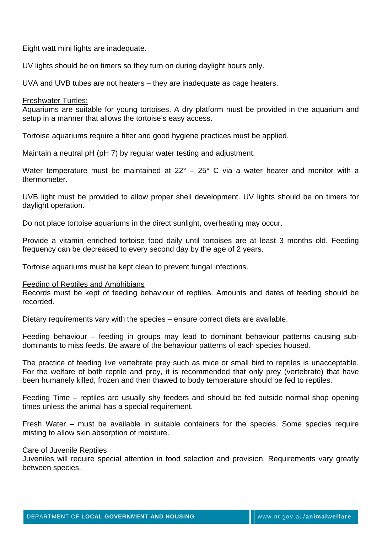Eight watt mini lights are inadequate.

UV lights should be on timers so they turn on during daylight hours only.

UVA and UVB tubes are not heaters – they are inadequate as cage heaters.

#### Freshwater Turtles:

Aquariums are suitable for young tortoises. A dry platform must be provided in the aquarium and setup in a manner that allows the tortoise's easy access.

Tortoise aquariums require a filter and good hygiene practices must be applied.

Maintain a neutral pH (pH 7) by regular water testing and adjustment.

Water temperature must be maintained at 22° – 25° C via a water heater and monitor with a thermometer.

UVB light must be provided to allow proper shell development. UV lights should be on timers for daylight operation.

Do not place tortoise aquariums in the direct sunlight, overheating may occur.

Provide a vitamin enriched tortoise food daily until tortoises are at least 3 months old. Feeding frequency can be decreased to every second day by the age of 2 years.

Tortoise aquariums must be kept clean to prevent fungal infections.

#### Feeding of Reptiles and Amphibians

Records must be kept of feeding behaviour of reptiles. Amounts and dates of feeding should be recorded.

Dietary requirements vary with the species – ensure correct diets are available.

Feeding behaviour – feeding in groups may lead to dominant behaviour patterns causing subdominants to miss feeds. Be aware of the behaviour patterns of each species housed.

The practice of feeding live vertebrate prey such as mice or small bird to reptiles is unacceptable. For the welfare of both reptile and prey, it is recommended that only prey (vertebrate) that have been humanely killed, frozen and then thawed to body temperature should be fed to reptiles.

Feeding Time – reptiles are usually shy feeders and should be fed outside normal shop opening times unless the animal has a special requirement.

Fresh Water – must be available in suitable containers for the species. Some species require misting to allow skin absorption of moisture.

#### Care of Juvenile Reptiles

Juveniles will require special attention in food selection and provision. Requirements vary greatly between species.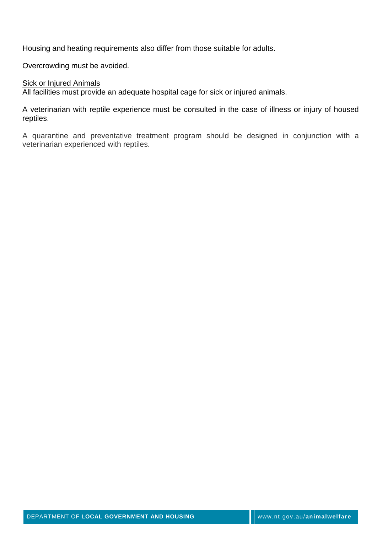Housing and heating requirements also differ from those suitable for adults.

Overcrowding must be avoided.

#### **Sick or Injured Animals**

All facilities must provide an adequate hospital cage for sick or injured animals.

A veterinarian with reptile experience must be consulted in the case of illness or injury of housed reptiles.

A quarantine and preventative treatment program should be designed in conjunction with a veterinarian experienced with reptiles.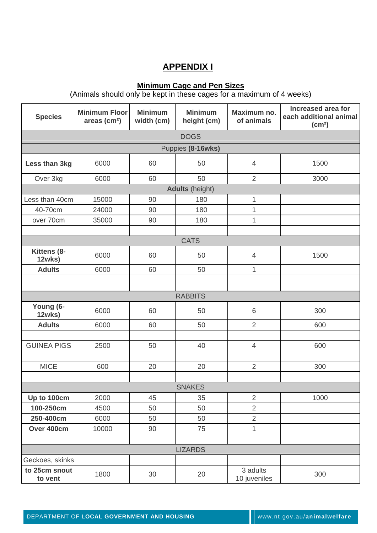# **APPENDIX I**

# **Minimum Cage and Pen Sizes**

(Animals should only be kept in these cages for a maximum of 4 weeks)

| <b>Species</b>            | <b>Minimum Floor</b><br>areas $(cm2)$ | <b>Minimum</b><br>width (cm) | <b>Minimum</b><br>height (cm) | Maximum no.<br>of animals | <b>Increased area for</b><br>each additional animal<br>(cm <sup>2</sup> ) |  |  |  |  |
|---------------------------|---------------------------------------|------------------------------|-------------------------------|---------------------------|---------------------------------------------------------------------------|--|--|--|--|
| <b>DOGS</b>               |                                       |                              |                               |                           |                                                                           |  |  |  |  |
|                           | Puppies (8-16wks)                     |                              |                               |                           |                                                                           |  |  |  |  |
| Less than 3kg             | 6000                                  | 60                           | 50                            | $\overline{4}$            | 1500                                                                      |  |  |  |  |
| Over 3kg                  | 6000                                  | 60                           | 50                            | $\overline{2}$            | 3000                                                                      |  |  |  |  |
|                           |                                       |                              | <b>Adults</b> (height)        |                           |                                                                           |  |  |  |  |
| Less than 40cm            | 15000                                 | 90                           | 180                           | 1                         |                                                                           |  |  |  |  |
| 40-70cm                   | 24000                                 | 90                           | 180                           | $\mathbf 1$               |                                                                           |  |  |  |  |
| over 70cm                 | 35000                                 | 90                           | 180                           | 1                         |                                                                           |  |  |  |  |
|                           |                                       |                              |                               |                           |                                                                           |  |  |  |  |
|                           |                                       |                              | <b>CATS</b>                   |                           |                                                                           |  |  |  |  |
| Kittens (8-<br>12wks)     | 6000                                  | 60                           | 50                            | $\overline{4}$            | 1500                                                                      |  |  |  |  |
| <b>Adults</b>             | 6000                                  | 60                           | 50<br>$\mathbf{1}$            |                           |                                                                           |  |  |  |  |
|                           |                                       |                              |                               |                           |                                                                           |  |  |  |  |
|                           |                                       |                              | <b>RABBITS</b>                |                           |                                                                           |  |  |  |  |
| Young (6-<br>12wks)       | 6000                                  | 60                           | 50                            | 6                         | 300                                                                       |  |  |  |  |
| <b>Adults</b>             | 6000                                  | 60                           | 50                            | $\overline{2}$            | 600                                                                       |  |  |  |  |
|                           |                                       |                              |                               |                           |                                                                           |  |  |  |  |
| <b>GUINEA PIGS</b>        | 2500                                  | 50                           | 40                            | $\overline{4}$            | 600                                                                       |  |  |  |  |
|                           |                                       |                              |                               |                           |                                                                           |  |  |  |  |
| <b>MICE</b><br>600        |                                       | 20                           | 20                            | $\overline{2}$            | 300                                                                       |  |  |  |  |
|                           |                                       |                              |                               |                           |                                                                           |  |  |  |  |
|                           | <b>SNAKES</b>                         |                              |                               |                           |                                                                           |  |  |  |  |
| Up to 100cm               | 2000                                  | 45                           | 35                            | $\overline{2}$            | 1000                                                                      |  |  |  |  |
| 100-250cm                 | 4500                                  | 50                           | 50                            | $\overline{2}$            |                                                                           |  |  |  |  |
| 250-400cm                 | 6000<br>50<br>50                      |                              |                               | $\overline{2}$            |                                                                           |  |  |  |  |
| Over 400cm<br>10000<br>90 |                                       |                              | 75                            | 1                         |                                                                           |  |  |  |  |
|                           |                                       |                              |                               |                           |                                                                           |  |  |  |  |
| <b>LIZARDS</b>            |                                       |                              |                               |                           |                                                                           |  |  |  |  |
| Geckoes, skinks           |                                       |                              |                               |                           |                                                                           |  |  |  |  |
| to 25cm snout<br>to vent  | 1800                                  | 30                           | 20                            | 3 adults<br>10 juveniles  | 300                                                                       |  |  |  |  |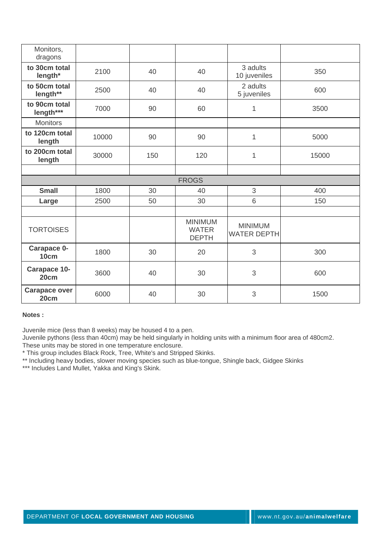| Monitors,<br>dragons                             |       |     |                                                |                                      |       |
|--------------------------------------------------|-------|-----|------------------------------------------------|--------------------------------------|-------|
| to 30cm total<br>length*                         | 2100  | 40  | 40                                             | 3 adults<br>10 juveniles             | 350   |
| to 50cm total<br>length**                        | 2500  | 40  | 40                                             | 2 adults<br>5 juveniles              | 600   |
| to 90cm total<br>length***                       | 7000  | 90  | 60                                             | 1                                    | 3500  |
| <b>Monitors</b>                                  |       |     |                                                |                                      |       |
| to 120cm total<br>length                         | 10000 | 90  | 90                                             | 1                                    | 5000  |
| to 200cm total<br>length                         | 30000 | 150 | 120<br>1                                       |                                      | 15000 |
|                                                  |       |     |                                                |                                      |       |
|                                                  |       |     | <b>FROGS</b>                                   |                                      |       |
| <b>Small</b>                                     | 1800  | 30  | 40                                             | 3                                    | 400   |
| Large                                            | 2500  | 50  | 30                                             | 6                                    | 150   |
|                                                  |       |     |                                                |                                      |       |
| <b>TORTOISES</b>                                 |       |     | <b>MINIMUM</b><br><b>WATER</b><br><b>DEPTH</b> | <b>MINIMUM</b><br><b>WATER DEPTH</b> |       |
| Carapace 0-<br>10cm                              | 1800  | 30  | 20                                             | 3                                    | 300   |
| <b>Carapace 10-</b><br>20cm                      | 3600  | 40  | 30                                             | 3                                    | 600   |
| <b>Carapace over</b><br>6000<br>40<br>30<br>20cm |       | 3   | 1500                                           |                                      |       |

#### **Notes :**

Juvenile mice (less than 8 weeks) may be housed 4 to a pen.

Juvenile pythons (less than 40cm) may be held singularly in holding units with a minimum floor area of 480cm2. These units may be stored in one temperature enclosure.

\* This group includes Black Rock, Tree, White's and Stripped Skinks.

\*\* Including heavy bodies, slower moving species such as blue-tongue, Shingle back, Gidgee Skinks

\*\*\* Includes Land Mullet, Yakka and King's Skink.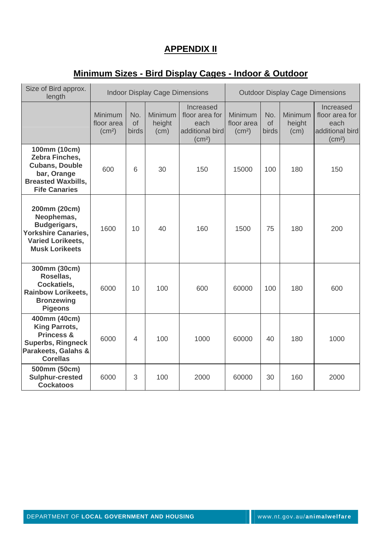# **APPENDIX II**

# **Minimum Sizes - Bird Display Cages - Indoor & Outdoor**

| Size of Bird approx.<br>length                                                                                                      | <b>Indoor Display Cage Dimensions</b>       |                           |                           | <b>Outdoor Display Cage Dimensions</b>                                       |                                                    |                           |                           |                                                                              |
|-------------------------------------------------------------------------------------------------------------------------------------|---------------------------------------------|---------------------------|---------------------------|------------------------------------------------------------------------------|----------------------------------------------------|---------------------------|---------------------------|------------------------------------------------------------------------------|
|                                                                                                                                     | Minimum<br>floor area<br>(cm <sup>2</sup> ) | No.<br><b>of</b><br>birds | Minimum<br>height<br>(cm) | Increased<br>floor area for<br>each<br>additional bird<br>(cm <sup>2</sup> ) | <b>Minimum</b><br>floor area<br>(cm <sup>2</sup> ) | No.<br><b>of</b><br>birds | Minimum<br>height<br>(cm) | Increased<br>floor area for<br>each<br>additional bird<br>(cm <sup>2</sup> ) |
| 100mm (10cm)<br>Zebra Finches,<br><b>Cubans, Double</b><br>bar, Orange<br><b>Breasted Waxbills,</b><br><b>Fife Canaries</b>         | 600                                         | 6                         | 30                        | 150                                                                          | 15000                                              | 100                       | 180                       | 150                                                                          |
| 200mm (20cm)<br>Neophemas,<br>Budgerigars,<br><b>Yorkshire Canaries,</b><br><b>Varied Lorikeets,</b><br><b>Musk Lorikeets</b>       | 1600                                        | 10                        | 40                        | 160                                                                          | 1500                                               | 75                        | 180                       | 200                                                                          |
| 300mm (30cm)<br>Rosellas,<br>Cockatiels,<br><b>Rainbow Lorikeets,</b><br><b>Bronzewing</b><br><b>Pigeons</b>                        | 6000                                        | 10                        | 100                       | 600                                                                          | 60000                                              | 100                       | 180                       | 600                                                                          |
| 400mm (40cm)<br><b>King Parrots,</b><br><b>Princess &amp;</b><br><b>Superbs, Ringneck</b><br>Parakeets, Galahs &<br><b>Corellas</b> | 6000                                        | $\overline{4}$            | 100                       | 1000                                                                         | 60000                                              | 40                        | 180                       | 1000                                                                         |
| 500mm (50cm)<br>Sulphur-crested<br><b>Cockatoos</b>                                                                                 | 6000                                        | 3                         | 100                       | 2000                                                                         | 60000                                              | 30                        | 160                       | 2000                                                                         |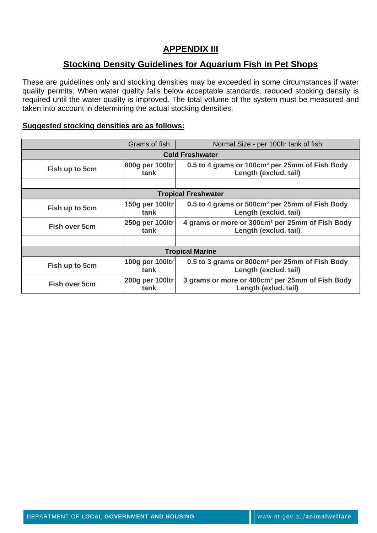# **APPENDIX III**

# **Stocking Density Guidelines for Aquarium Fish in Pet Shops**

These are guidelines only and stocking densities may be exceeded in some circumstances if water quality permits. When water quality falls below acceptable standards, reduced stocking density is required until the water quality is improved. The total volume of the system must be measured and taken into account in determining the actual stocking densities.

## **Suggested stocking densities are as follows:**

|                        | Grams of fish           | Normal Size - per 100ltr tank of fish                                                |  |  |  |  |  |
|------------------------|-------------------------|--------------------------------------------------------------------------------------|--|--|--|--|--|
| <b>Cold Freshwater</b> |                         |                                                                                      |  |  |  |  |  |
| Fish up to 5cm         | 800g per 100ltr<br>tank | 0.5 to 4 grams or 100cm <sup>2</sup> per 25mm of Fish Body<br>Length (exclud. tail)  |  |  |  |  |  |
|                        |                         |                                                                                      |  |  |  |  |  |
|                        |                         | <b>Tropical Freshwater</b>                                                           |  |  |  |  |  |
| Fish up to 5cm         | 150g per 100ltr<br>tank | 0.5 to 4 grams or 500cm <sup>2</sup> per 25mm of Fish Body<br>Length (exclud. tail)  |  |  |  |  |  |
| <b>Fish over 5cm</b>   | 250g per 100ltr<br>tank | 4 grams or more or 300cm <sup>2</sup> per 25mm of Fish Body<br>Length (exclud. tail) |  |  |  |  |  |
|                        |                         |                                                                                      |  |  |  |  |  |
| <b>Tropical Marine</b> |                         |                                                                                      |  |  |  |  |  |
| Fish up to 5cm         | 100g per 100ltr<br>tank | 0.5 to 3 grams or 800cm <sup>2</sup> per 25mm of Fish Body<br>Length (exclud. tail)  |  |  |  |  |  |
| <b>Fish over 5cm</b>   | 200g per 100ltr<br>tank | 3 grams or more or 400cm <sup>2</sup> per 25mm of Fish Body<br>Length (exlud. tail)  |  |  |  |  |  |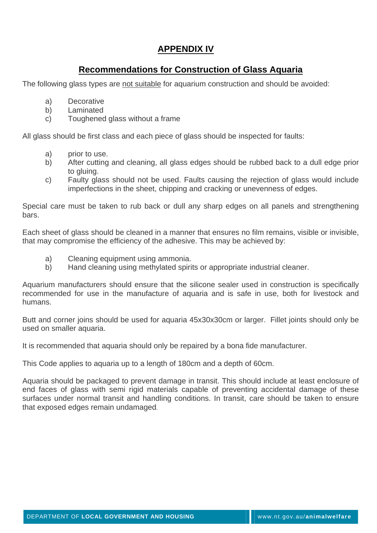# **APPENDIX IV**

# **Recommendations for Construction of Glass Aquaria**

The following glass types are not suitable for aquarium construction and should be avoided:

- a) Decorative
- b) Laminated
- c) Toughened glass without a frame

All glass should be first class and each piece of glass should be inspected for faults:

- a) prior to use.
- b) After cutting and cleaning, all glass edges should be rubbed back to a dull edge prior to gluing.
- c) Faulty glass should not be used. Faults causing the rejection of glass would include imperfections in the sheet, chipping and cracking or unevenness of edges.

Special care must be taken to rub back or dull any sharp edges on all panels and strengthening bars.

Each sheet of glass should be cleaned in a manner that ensures no film remains, visible or invisible, that may compromise the efficiency of the adhesive. This may be achieved by:

- a) Cleaning equipment using ammonia.
- b) Hand cleaning using methylated spirits or appropriate industrial cleaner.

Aquarium manufacturers should ensure that the silicone sealer used in construction is specifically recommended for use in the manufacture of aquaria and is safe in use, both for livestock and humans.

Butt and corner joins should be used for aquaria 45x30x30cm or larger. Fillet joints should only be used on smaller aquaria.

It is recommended that aquaria should only be repaired by a bona fide manufacturer.

This Code applies to aquaria up to a length of 180cm and a depth of 60cm.

Aquaria should be packaged to prevent damage in transit. This should include at least enclosure of end faces of glass with semi rigid materials capable of preventing accidental damage of these surfaces under normal transit and handling conditions. In transit, care should be taken to ensure that exposed edges remain undamaged.